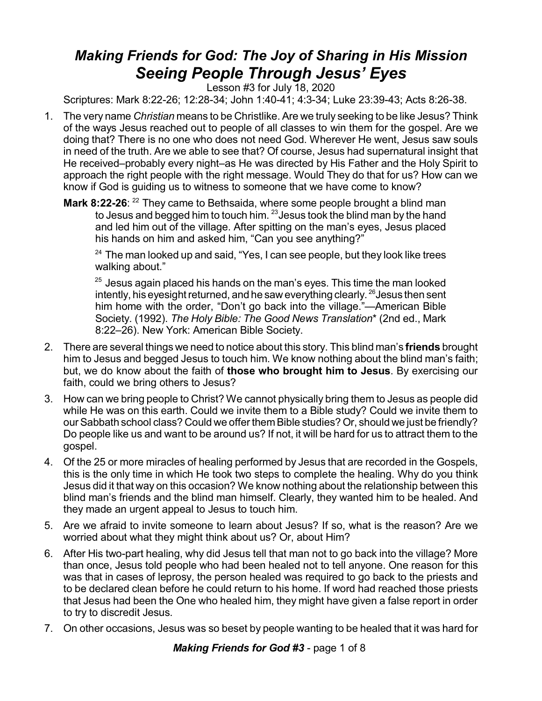## *Making Friends for God: The Joy of Sharing in His Mission Seeing People Through Jesus' Eyes*

Lesson #3 for July 18, 2020

Scriptures: Mark 8:22-26; 12:28-34; John 1:40-41; 4:3-34; Luke 23:39-43; Acts 8:26-38.

- 1. The very name *Christian* means to be Christlike. Are we truly seeking to be like Jesus? Think of the ways Jesus reached out to people of all classes to win them for the gospel. Are we doing that? There is no one who does not need God. Wherever He went, Jesus saw souls in need of the truth. Are we able to see that? Of course, Jesus had supernatural insight that He received–probably every night–as He was directed by His Father and the Holy Spirit to approach the right people with the right message. Would They do that for us? How can we know if God is guiding us to witness to someone that we have come to know?
	- **Mark 8:22-26**: <sup>22</sup> They came to Bethsaida, where some people brought a blind man to Jesus and begged him to touch him.  $23$  Jesus took the blind man by the hand and led him out of the village. After spitting on the man's eyes, Jesus placed his hands on him and asked him, "Can you see anything?"

 $^{24}$  The man looked up and said, "Yes, I can see people, but they look like trees walking about."

 $25$  Jesus again placed his hands on the man's eyes. This time the man looked intently, his eyesight returned, and he saw everything clearly.  $^{26}$  Jesus then sent him home with the order, "Don't go back into the village."—American Bible Society. (1992). *The Holy Bible: The Good News Translation*\* (2nd ed., Mark 8:22–26). New York: American Bible Society.

- 2. There are several things we need to notice about this story. This blind man's **friends** brought him to Jesus and begged Jesus to touch him. We know nothing about the blind man's faith; but, we do know about the faith of **those who brought him to Jesus**. By exercising our faith, could we bring others to Jesus?
- 3. How can we bring people to Christ? We cannot physically bring them to Jesus as people did while He was on this earth. Could we invite them to a Bible study? Could we invite them to our Sabbath school class? Could we offer them Bible studies? Or, should we just be friendly? Do people like us and want to be around us? If not, it will be hard for us to attract them to the gospel.
- 4. Of the 25 or more miracles of healing performed by Jesus that are recorded in the Gospels, this is the only time in which He took two steps to complete the healing. Why do you think Jesus did it that way on this occasion? We know nothing about the relationship between this blind man's friends and the blind man himself. Clearly, they wanted him to be healed. And they made an urgent appeal to Jesus to touch him.
- 5. Are we afraid to invite someone to learn about Jesus? If so, what is the reason? Are we worried about what they might think about us? Or, about Him?
- 6. After His two-part healing, why did Jesus tell that man not to go back into the village? More than once, Jesus told people who had been healed not to tell anyone. One reason for this was that in cases of leprosy, the person healed was required to go back to the priests and to be declared clean before he could return to his home. If word had reached those priests that Jesus had been the One who healed him, they might have given a false report in order to try to discredit Jesus.
- 7. On other occasions, Jesus was so beset by people wanting to be healed that it was hard for

*Making Friends for God #3* - page 1 of 8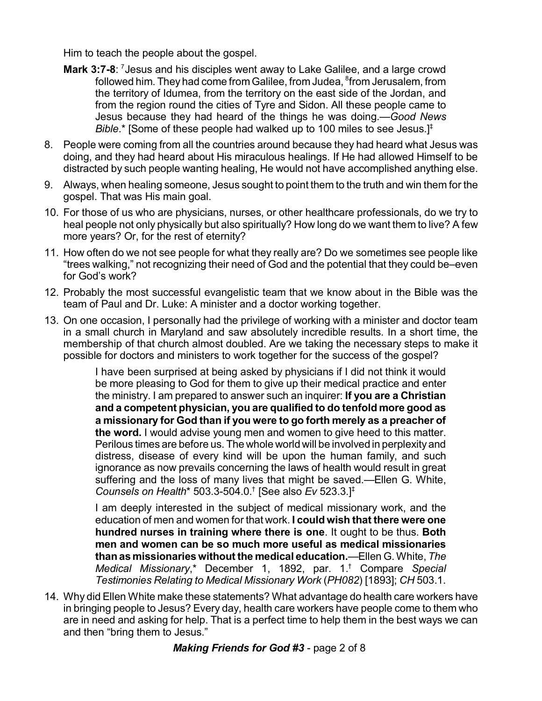Him to teach the people about the gospel.

- Mark 3:7-8: <sup>7</sup> Jesus and his disciples went away to Lake Galilee, and a large crowd followed him. They had come from Galilee, from Judea,  ${}^{8}$ from Jerusalem, from the territory of Idumea, from the territory on the east side of the Jordan, and from the region round the cities of Tyre and Sidon. All these people came to Jesus because they had heard of the things he was doing.—*Good News Bible*.\* [Some of these people had walked up to 100 miles to see Jesus.]‡
- 8. People were coming from all the countries around because they had heard what Jesus was doing, and they had heard about His miraculous healings. If He had allowed Himself to be distracted by such people wanting healing, He would not have accomplished anything else.
- 9. Always, when healing someone, Jesus sought to point them to the truth and win them for the gospel. That was His main goal.
- 10. For those of us who are physicians, nurses, or other healthcare professionals, do we try to heal people not only physically but also spiritually? How long do we want them to live? A few more years? Or, for the rest of eternity?
- 11. How often do we not see people for what they really are? Do we sometimes see people like "trees walking," not recognizing their need of God and the potential that they could be–even for God's work?
- 12. Probably the most successful evangelistic team that we know about in the Bible was the team of Paul and Dr. Luke: A minister and a doctor working together.
- 13. On one occasion, I personally had the privilege of working with a minister and doctor team in a small church in Maryland and saw absolutely incredible results. In a short time, the membership of that church almost doubled. Are we taking the necessary steps to make it possible for doctors and ministers to work together for the success of the gospel?

I have been surprised at being asked by physicians if I did not think it would be more pleasing to God for them to give up their medical practice and enter the ministry. I am prepared to answer such an inquirer: **If you are a Christian and a competent physician, you are qualified to do tenfold more good as a missionary for God than if you were to go forth merely as a preacher of the word.** I would advise young men and women to give heed to this matter. Perilous times are before us. The whole world will be involved in perplexity and distress, disease of every kind will be upon the human family, and such ignorance as now prevails concerning the laws of health would result in great suffering and the loss of many lives that might be saved.—Ellen G. White, *Counsels on Health*\* 503.3-504.0.<sup>†</sup> [See also *Ev* 523.3.]<sup>‡</sup>

I am deeply interested in the subject of medical missionary work, and the education of men and women for that work. **I could wish that there were one hundred nurses in training where there is one**. It ought to be thus. **Both men and women can be so much more useful as medical missionaries than as missionaries without the medical education.**—Ellen G. White, *The Medical Missionary*,\* December 1, 1892, par. 1.<sup>†</sup> Compare *Special Testimonies Relating to Medical Missionary Work* (*PH082*) [1893]; *CH* 503.1.

14. Why did Ellen White make these statements? What advantage do health care workers have in bringing people to Jesus? Every day, health care workers have people come to them who are in need and asking for help. That is a perfect time to help them in the best ways we can and then "bring them to Jesus."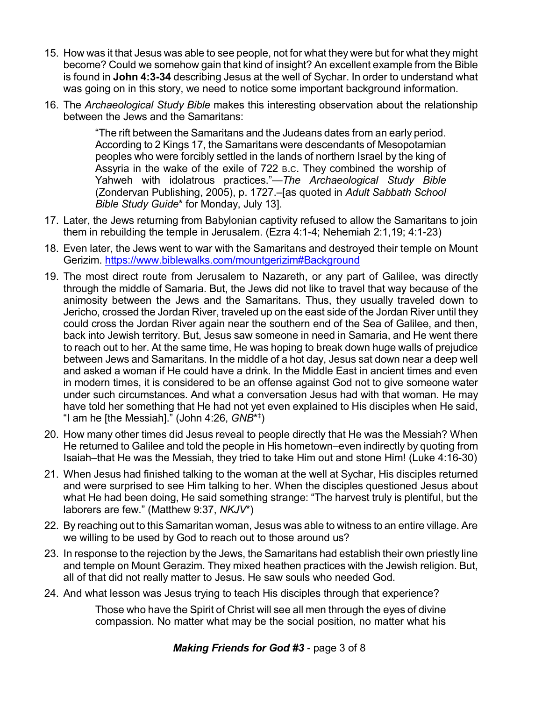- 15. How was it that Jesus was able to see people, not for what they were but for what they might become? Could we somehow gain that kind of insight? An excellent example from the Bible is found in **John 4:3-34** describing Jesus at the well of Sychar. In order to understand what was going on in this story, we need to notice some important background information.
- 16. The *Archaeological Study Bible* makes this interesting observation about the relationship between the Jews and the Samaritans:

"The rift between the Samaritans and the Judeans dates from an early period. According to 2 Kings 17, the Samaritans were descendants of Mesopotamian peoples who were forcibly settled in the lands of northern Israel by the king of Assyria in the wake of the exile of 722 B.C. They combined the worship of Yahweh with idolatrous practices."—*The Archaeological Study Bible* (Zondervan Publishing, 2005), p. 1727.–[as quoted in *Adult Sabbath School Bible Study Guide*\* for Monday, July 13].

- 17. Later, the Jews returning from Babylonian captivity refused to allow the Samaritans to join them in rebuilding the temple in Jerusalem. (Ezra 4:1-4; Nehemiah 2:1,19; 4:1-23)
- 18. Even later, the Jews went to war with the Samaritans and destroyed their temple on Mount Gerizim.<https://www.biblewalks.com/mountgerizim#Background>
- 19. The most direct route from Jerusalem to Nazareth, or any part of Galilee, was directly through the middle of Samaria. But, the Jews did not like to travel that way because of the animosity between the Jews and the Samaritans. Thus, they usually traveled down to Jericho, crossed the Jordan River, traveled up on the east side of the Jordan River until they could cross the Jordan River again near the southern end of the Sea of Galilee, and then, back into Jewish territory. But, Jesus saw someone in need in Samaria, and He went there to reach out to her. At the same time, He was hoping to break down huge walls of prejudice between Jews and Samaritans. In the middle of a hot day, Jesus sat down near a deep well and asked a woman if He could have a drink. In the Middle East in ancient times and even in modern times, it is considered to be an offense against God not to give someone water under such circumstances. And what a conversation Jesus had with that woman. He may have told her something that He had not yet even explained to His disciples when He said, "I am he [the Messiah]." (John 4:26, *GNB*\*<sup>‡</sup>)
- 20. How many other times did Jesus reveal to people directly that He was the Messiah? When He returned to Galilee and told the people in His hometown–even indirectly by quoting from Isaiah–that He was the Messiah, they tried to take Him out and stone Him! (Luke 4:16-30)
- 21. When Jesus had finished talking to the woman at the well at Sychar, His disciples returned and were surprised to see Him talking to her. When the disciples questioned Jesus about what He had been doing, He said something strange: "The harvest truly is plentiful, but the laborers are few." (Matthew 9:37, *NKJV*\*)
- 22. By reaching out to this Samaritan woman, Jesus was able to witness to an entire village. Are we willing to be used by God to reach out to those around us?
- 23. In response to the rejection by the Jews, the Samaritans had establish their own priestly line and temple on Mount Gerazim. They mixed heathen practices with the Jewish religion. But, all of that did not really matter to Jesus. He saw souls who needed God.
- 24. And what lesson was Jesus trying to teach His disciples through that experience?

Those who have the Spirit of Christ will see all men through the eyes of divine compassion. No matter what may be the social position, no matter what his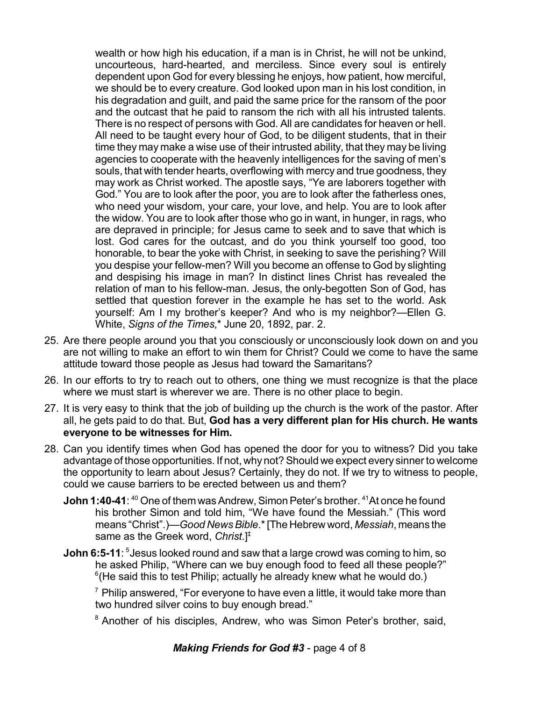wealth or how high his education, if a man is in Christ, he will not be unkind, uncourteous, hard-hearted, and merciless. Since every soul is entirely dependent upon God for every blessing he enjoys, how patient, how merciful, we should be to every creature. God looked upon man in his lost condition, in his degradation and guilt, and paid the same price for the ransom of the poor and the outcast that he paid to ransom the rich with all his intrusted talents. There is no respect of persons with God. All are candidates for heaven or hell. All need to be taught every hour of God, to be diligent students, that in their time they may make a wise use of their intrusted ability, that they may be living agencies to cooperate with the heavenly intelligences for the saving of men's souls, that with tender hearts, overflowing with mercy and true goodness, they may work as Christ worked. The apostle says, "Ye are laborers together with God." You are to look after the poor, you are to look after the fatherless ones, who need your wisdom, your care, your love, and help. You are to look after the widow. You are to look after those who go in want, in hunger, in rags, who are depraved in principle; for Jesus came to seek and to save that which is lost. God cares for the outcast, and do you think yourself too good, too honorable, to bear the yoke with Christ, in seeking to save the perishing? Will you despise your fellow-men? Will you become an offense to God by slighting and despising his image in man? In distinct lines Christ has revealed the relation of man to his fellow-man. Jesus, the only-begotten Son of God, has settled that question forever in the example he has set to the world. Ask yourself: Am I my brother's keeper? And who is my neighbor?—Ellen G. White, *Signs of the Times*,\* June 20, 1892, par. 2.

- 25. Are there people around you that you consciously or unconsciously look down on and you are not willing to make an effort to win them for Christ? Could we come to have the same attitude toward those people as Jesus had toward the Samaritans?
- 26. In our efforts to try to reach out to others, one thing we must recognize is that the place where we must start is wherever we are. There is no other place to begin.
- 27. It is very easy to think that the job of building up the church is the work of the pastor. After all, he gets paid to do that. But, **God has a very different plan for His church. He wants everyone to be witnesses for Him.**
- 28. Can you identify times when God has opened the door for you to witness? Did you take advantage of those opportunities. If not, why not? Should we expect every sinner to welcome the opportunity to learn about Jesus? Certainly, they do not. If we try to witness to people, could we cause barriers to be erected between us and them?
	- **John 1:40-41**: <sup>40</sup> One of them was Andrew, Simon Peter's brother. <sup>41</sup>At once he found his brother Simon and told him, "We have found the Messiah." (This word means "Christ".)—*Good NewsBible*.\*[The Hebrew word, *Messiah*, means the same as the Greek word, *Christ*.]‡
	- **John 6:5-11**: <sup>5</sup> Jesus looked round and saw that a large crowd was coming to him, so he asked Philip, "Where can we buy enough food to feed all these people?"  $6$ (He said this to test Philip; actually he already knew what he would do.)

 $\frac{7}{7}$  Philip answered, "For everyone to have even a little, it would take more than two hundred silver coins to buy enough bread."

<sup>8</sup> Another of his disciples, Andrew, who was Simon Peter's brother, said,

*Making Friends for God #3* - page 4 of 8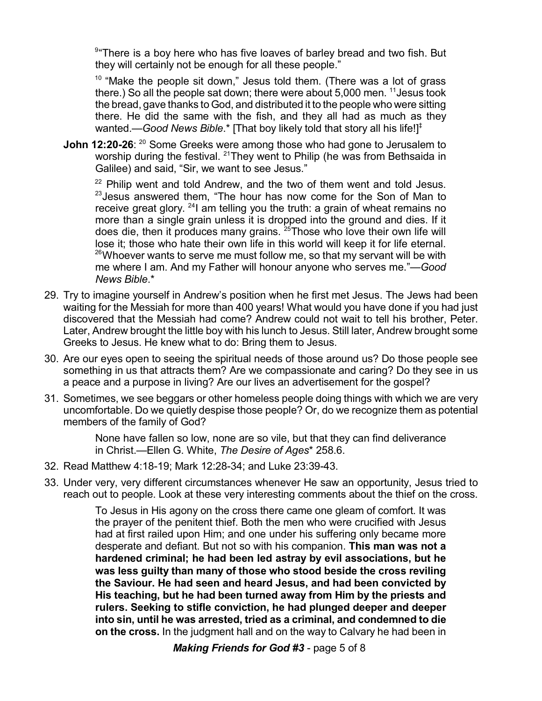$94$ <sup>9</sup> There is a boy here who has five loaves of barley bread and two fish. But they will certainly not be enough for all these people."

 $10$  "Make the people sit down," Jesus told them. (There was a lot of grass there.) So all the people sat down; there were about  $5,000$  men. <sup>11</sup> Jesus took the bread, gave thanks to God, and distributed it to the people who were sitting there. He did the same with the fish, and they all had as much as they wanted.—*Good News Bible*.\* [That boy likely told that story all his life!]<sup>‡</sup>

**John 12:20-26:** <sup>20</sup> Some Greeks were among those who had gone to Jerusalem to worship during the festival. <sup>21</sup>They went to Philip (he was from Bethsaida in Galilee) and said, "Sir, we want to see Jesus."

 $22$  Philip went and told Andrew, and the two of them went and told Jesus.  $23$  Jesus answered them, "The hour has now come for the Son of Man to receive great glory. <sup>24</sup> am telling you the truth: a grain of wheat remains no more than a single grain unless it is dropped into the ground and dies. If it does die, then it produces many grains.  $25$  Those who love their own life will lose it; those who hate their own life in this world will keep it for life eternal.  $^{26}$ Whoever wants to serve me must follow me, so that my servant will be with me where I am. And my Father will honour anyone who serves me."—*Good News Bible*.\*

- 29. Try to imagine yourself in Andrew's position when he first met Jesus. The Jews had been waiting for the Messiah for more than 400 years! What would you have done if you had just discovered that the Messiah had come? Andrew could not wait to tell his brother, Peter. Later, Andrew brought the little boy with his lunch to Jesus. Still later, Andrew brought some Greeks to Jesus. He knew what to do: Bring them to Jesus.
- 30. Are our eyes open to seeing the spiritual needs of those around us? Do those people see something in us that attracts them? Are we compassionate and caring? Do they see in us a peace and a purpose in living? Are our lives an advertisement for the gospel?
- 31. Sometimes, we see beggars or other homeless people doing things with which we are very uncomfortable. Do we quietly despise those people? Or, do we recognize them as potential members of the family of God?

None have fallen so low, none are so vile, but that they can find deliverance in Christ.—Ellen G. White, *The Desire of Ages*\* 258.6.

- 32. Read Matthew 4:18-19; Mark 12:28-34; and Luke 23:39-43.
- 33. Under very, very different circumstances whenever He saw an opportunity, Jesus tried to reach out to people. Look at these very interesting comments about the thief on the cross.

To Jesus in His agony on the cross there came one gleam of comfort. It was the prayer of the penitent thief. Both the men who were crucified with Jesus had at first railed upon Him; and one under his suffering only became more desperate and defiant. But not so with his companion. **This man was not a hardened criminal; he had been led astray by evil associations, but he was less guilty than many of those who stood beside the cross reviling the Saviour. He had seen and heard Jesus, and had been convicted by His teaching, but he had been turned away from Him by the priests and rulers. Seeking to stifle conviction, he had plunged deeper and deeper into sin, until he was arrested, tried as a criminal, and condemned to die on the cross.** In the judgment hall and on the way to Calvary he had been in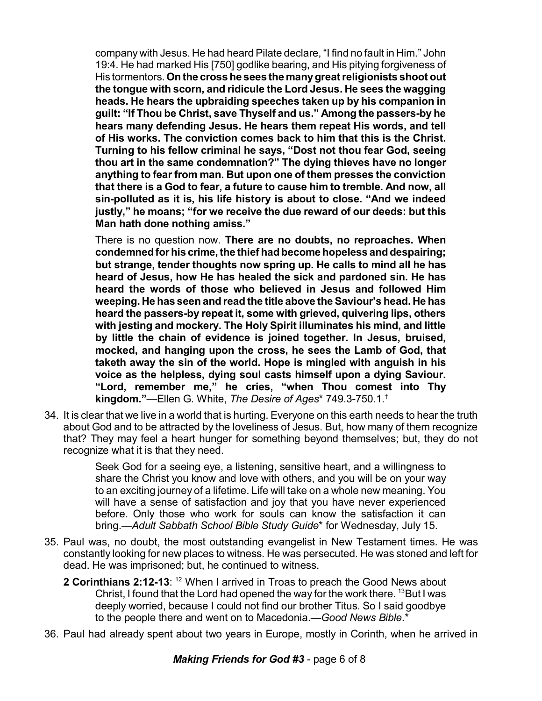company with Jesus. He had heard Pilate declare, "I find no fault in Him." John 19:4. He had marked His [750] godlike bearing, and His pitying forgiveness of His tormentors. **Onthe crosshe sees the manygreat religionists shoot out the tongue with scorn, and ridicule the Lord Jesus. He sees the wagging heads. He hears the upbraiding speeches taken up by his companion in guilt: "If Thou be Christ, save Thyself and us." Among the passers-by he hears many defending Jesus. He hears them repeat His words, and tell of His works. The conviction comes back to him that this is the Christ. Turning to his fellow criminal he says, "Dost not thou fear God, seeing thou art in the same condemnation?" The dying thieves have no longer anything to fear from man. But upon one of them presses the conviction that there is a God to fear, a future to cause him to tremble. And now, all sin-polluted as it is, his life history is about to close. "And we indeed justly," he moans; "for we receive the due reward of our deeds: but this Man hath done nothing amiss."**

There is no question now. **There are no doubts, no reproaches. When condemnedforhis crime,the thief hadbecome hopeless anddespairing; but strange, tender thoughts now spring up. He calls to mind all he has heard of Jesus, how He has healed the sick and pardoned sin. He has heard the words of those who believed in Jesus and followed Him weeping. He has seen and read the title above the Saviour's head. He has heard the passers-by repeat it, some with grieved, quivering lips, others with jesting and mockery. The Holy Spirit illuminates his mind, and little by little the chain of evidence is joined together. In Jesus, bruised, mocked, and hanging upon the cross, he sees the Lamb of God, that taketh away the sin of the world. Hope is mingled with anguish in his voice as the helpless, dying soul casts himself upon a dying Saviour. "Lord, remember me," he cries, "when Thou comest into Thy kingdom."**—Ellen G. White, *The Desire of Ages*\* 749.3-750.1. †

34. It is clear that we live in a world that is hurting. Everyone on this earth needs to hear the truth about God and to be attracted by the loveliness of Jesus. But, how many of them recognize that? They may feel a heart hunger for something beyond themselves; but, they do not recognize what it is that they need.

> Seek God for a seeing eye, a listening, sensitive heart, and a willingness to share the Christ you know and love with others, and you will be on your way to an exciting journey of a lifetime. Life will take on a whole new meaning. You will have a sense of satisfaction and joy that you have never experienced before. Only those who work for souls can know the satisfaction it can bring.—*Adult Sabbath School Bible Study Guide*\* for Wednesday, July 15.

- 35. Paul was, no doubt, the most outstanding evangelist in New Testament times. He was constantly looking for new places to witness. He was persecuted. He was stoned and left for dead. He was imprisoned; but, he continued to witness.
	- **2 Corinthians 2:12-13**: When I arrived in Troas to preach the Good News about 12 Christ, I found that the Lord had opened the way for the work there.  $^{13}$ But I was deeply worried, because I could not find our brother Titus. So I said goodbye to the people there and went on to Macedonia.—*Good News Bible*.\*
- 36. Paul had already spent about two years in Europe, mostly in Corinth, when he arrived in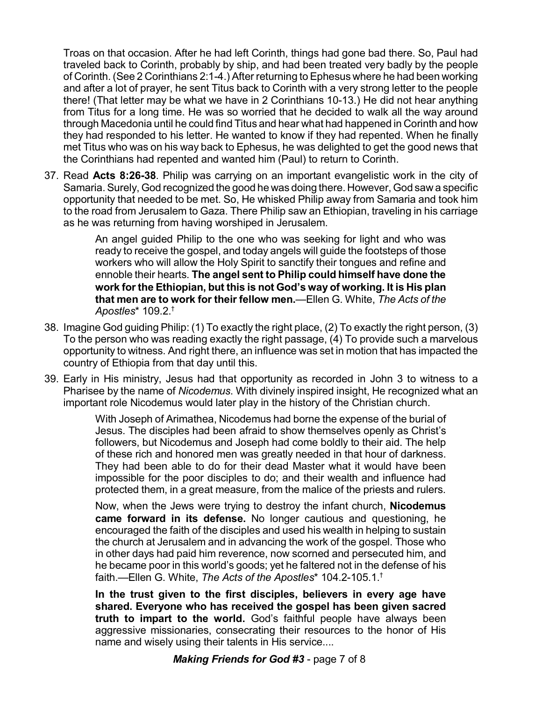Troas on that occasion. After he had left Corinth, things had gone bad there. So, Paul had traveled back to Corinth, probably by ship, and had been treated very badly by the people of Corinth. (See 2 Corinthians 2:1-4.) After returning to Ephesus where he had been working and after a lot of prayer, he sent Titus back to Corinth with a very strong letter to the people there! (That letter may be what we have in 2 Corinthians 10-13.) He did not hear anything from Titus for a long time. He was so worried that he decided to walk all the way around through Macedonia until he could find Titus and hear what had happened in Corinth and how they had responded to his letter. He wanted to know if they had repented. When he finally met Titus who was on his way back to Ephesus, he was delighted to get the good news that the Corinthians had repented and wanted him (Paul) to return to Corinth.

37. Read **Acts 8:26-38**. Philip was carrying on an important evangelistic work in the city of Samaria. Surely, God recognized the good he was doing there. However, God saw a specific opportunity that needed to be met. So, He whisked Philip away from Samaria and took him to the road from Jerusalem to Gaza. There Philip saw an Ethiopian, traveling in his carriage as he was returning from having worshiped in Jerusalem.

> An angel guided Philip to the one who was seeking for light and who was ready to receive the gospel, and today angels will guide the footsteps of those workers who will allow the Holy Spirit to sanctify their tongues and refine and ennoble their hearts. **The angel sent to Philip could himself have done the work forthe Ethiopian, but this is not God's way of working. It is His plan that men are to work for their fellow men.**—Ellen G. White, *The Acts of the Apostles*\* 109.2. †

- 38. Imagine God guiding Philip: (1) To exactly the right place, (2) To exactly the right person, (3) To the person who was reading exactly the right passage, (4) To provide such a marvelous opportunity to witness. And right there, an influence was set in motion that has impacted the country of Ethiopia from that day until this.
- 39. Early in His ministry, Jesus had that opportunity as recorded in John 3 to witness to a Pharisee by the name of *Nicodemus*. With divinely inspired insight, He recognized what an important role Nicodemus would later play in the history of the Christian church.

With Joseph of Arimathea, Nicodemus had borne the expense of the burial of Jesus. The disciples had been afraid to show themselves openly as Christ's followers, but Nicodemus and Joseph had come boldly to their aid. The help of these rich and honored men was greatly needed in that hour of darkness. They had been able to do for their dead Master what it would have been impossible for the poor disciples to do; and their wealth and influence had protected them, in a great measure, from the malice of the priests and rulers.

Now, when the Jews were trying to destroy the infant church, **Nicodemus came forward in its defense.** No longer cautious and questioning, he encouraged the faith of the disciples and used his wealth in helping to sustain the church at Jerusalem and in advancing the work of the gospel. Those who in other days had paid him reverence, now scorned and persecuted him, and he became poor in this world's goods; yet he faltered not in the defense of his faith.—Ellen G. White, *The Acts of the Apostles*\* 104.2-105.1. †

**In the trust given to the first disciples, believers in every age have shared. Everyone who has received the gospel has been given sacred truth to impart to the world.** God's faithful people have always been aggressive missionaries, consecrating their resources to the honor of His name and wisely using their talents in His service....